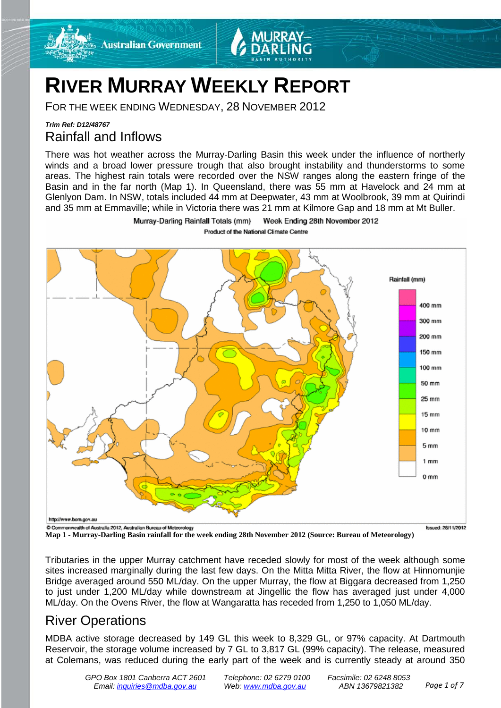

FOR THE WEEK ENDING WEDNESDAY, 28 NOVEMBER 2012

**Australian Government** 

### *Trim Ref: D12/48767* Rainfall and Inflows

There was hot weather across the Murray-Darling Basin this week under the influence of northerly winds and a broad lower pressure trough that also brought instability and thunderstorms to some areas. The highest rain totals were recorded over the NSW ranges along the eastern fringe of the Basin and in the far north (Map 1). In Queensland, there was 55 mm at Havelock and 24 mm at Glenlyon Dam. In NSW, totals included 44 mm at Deepwater, 43 mm at Woolbrook, 39 mm at Quirindi and 35 mm at Emmaville; while in Victoria there was 21 mm at Kilmore Gap and 18 mm at Mt Buller.



Murray-Darling Rainfall Totals (mm) Week Ending 28th November 2012 Product of the National Climate Centre

**Map 1 - Murray-Darling Basin rainfall for the week ending 28th November 2012 (Source: Bureau of Meteorology)**

Tributaries in the upper Murray catchment have receded slowly for most of the week although some sites increased marginally during the last few days. On the Mitta Mitta River, the flow at Hinnomunjie Bridge averaged around 550 ML/day. On the upper Murray, the flow at Biggara decreased from 1,250 to just under 1,200 ML/day while downstream at Jingellic the flow has averaged just under 4,000 ML/day. On the Ovens River, the flow at Wangaratta has receded from 1,250 to 1,050 ML/day.

### River Operations

MDBA active storage decreased by 149 GL this week to 8,329 GL, or 97% capacity. At Dartmouth Reservoir, the storage volume increased by 7 GL to 3,817 GL (99% capacity). The release, measured at Colemans, was reduced during the early part of the week and is currently steady at around 350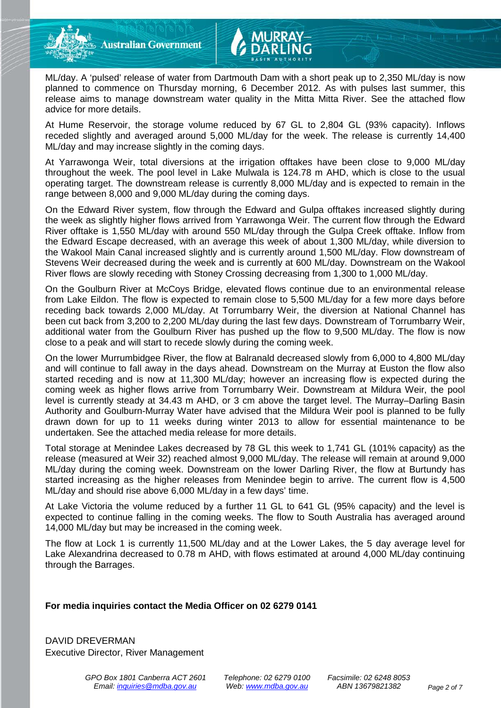**Australian Government** 

ML/day. A 'pulsed' release of water from Dartmouth Dam with a short peak up to 2,350 ML/day is now planned to commence on Thursday morning, 6 December 2012. As with pulses last summer, this release aims to manage downstream water quality in the Mitta Mitta River. See the attached flow advice for more details.

At Hume Reservoir, the storage volume reduced by 67 GL to 2,804 GL (93% capacity). Inflows receded slightly and averaged around 5,000 ML/day for the week. The release is currently 14,400 ML/day and may increase slightly in the coming days.

At Yarrawonga Weir, total diversions at the irrigation offtakes have been close to 9,000 ML/day throughout the week. The pool level in Lake Mulwala is 124.78 m AHD, which is close to the usual operating target. The downstream release is currently 8,000 ML/day and is expected to remain in the range between 8,000 and 9,000 ML/day during the coming days.

On the Edward River system, flow through the Edward and Gulpa offtakes increased slightly during the week as slightly higher flows arrived from Yarrawonga Weir. The current flow through the Edward River offtake is 1,550 ML/day with around 550 ML/day through the Gulpa Creek offtake. Inflow from the Edward Escape decreased, with an average this week of about 1,300 ML/day, while diversion to the Wakool Main Canal increased slightly and is currently around 1,500 ML/day. Flow downstream of Stevens Weir decreased during the week and is currently at 600 ML/day. Downstream on the Wakool River flows are slowly receding with Stoney Crossing decreasing from 1,300 to 1,000 ML/day.

On the Goulburn River at McCoys Bridge, elevated flows continue due to an environmental release from Lake Eildon. The flow is expected to remain close to 5,500 ML/day for a few more days before receding back towards 2,000 ML/day. At Torrumbarry Weir, the diversion at National Channel has been cut back from 3,200 to 2,200 ML/day during the last few days. Downstream of Torrumbarry Weir, additional water from the Goulburn River has pushed up the flow to 9,500 ML/day. The flow is now close to a peak and will start to recede slowly during the coming week.

On the lower Murrumbidgee River, the flow at Balranald decreased slowly from 6,000 to 4,800 ML/day and will continue to fall away in the days ahead. Downstream on the Murray at Euston the flow also started receding and is now at 11,300 ML/day; however an increasing flow is expected during the coming week as higher flows arrive from Torrumbarry Weir. Downstream at Mildura Weir, the pool level is currently steady at 34.43 m AHD, or 3 cm above the target level. The Murray–Darling Basin Authority and Goulburn-Murray Water have advised that the Mildura Weir pool is planned to be fully drawn down for up to 11 weeks during winter 2013 to allow for essential maintenance to be undertaken. See the attached media release for more details.

Total storage at Menindee Lakes decreased by 78 GL this week to 1,741 GL (101% capacity) as the release (measured at Weir 32) reached almost 9,000 ML/day. The release will remain at around 9,000 ML/day during the coming week. Downstream on the lower Darling River, the flow at Burtundy has started increasing as the higher releases from Menindee begin to arrive. The current flow is 4,500 ML/day and should rise above 6,000 ML/day in a few days' time.

At Lake Victoria the volume reduced by a further 11 GL to 641 GL (95% capacity) and the level is expected to continue falling in the coming weeks. The flow to South Australia has averaged around 14,000 ML/day but may be increased in the coming week.

The flow at Lock 1 is currently 11,500 ML/day and at the Lower Lakes, the 5 day average level for Lake Alexandrina decreased to 0.78 m AHD, with flows estimated at around 4,000 ML/day continuing through the Barrages.

#### **For media inquiries contact the Media Officer on 02 6279 0141**

DAVID DREVERMAN Executive Director, River Management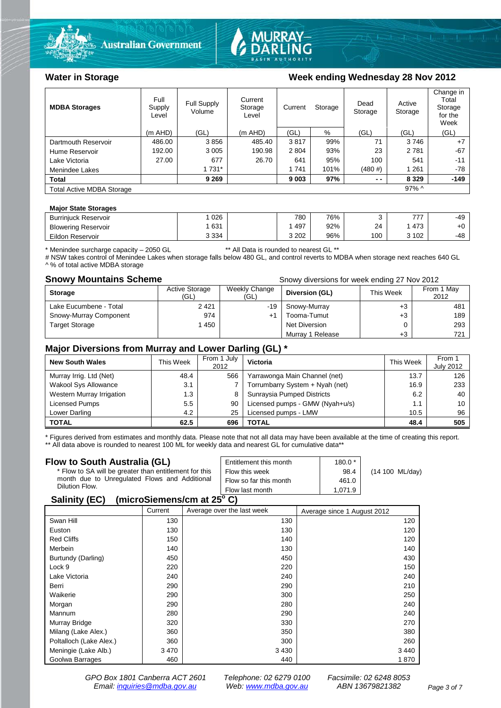



#### **MDBA Storages** Full Supply Level Full Supply Volume Current **Storage** Level Current Storage Dead Storage Active Storage Change in Total Storage for the Week (m AHD) (GL) (m AHD) (GL) % (GL) (GL) (GL) Dartmouth Reservoir  $\begin{array}{|c|c|c|c|c|c|c|c|}\n\hline\n\text{Hume} & \text{Hence} & \text{Hence} & \text{Hence} & \text{Hence} & \text{Hence} & \text{Hence} & \text{Hence} & \text{Hence} & \text{Hence} & \text{Hence} & \text{Hence} & \text{Hence} & \text{Hence} & \text{Hence} & \text{Hence} & \text{Hence} & \text{Hence} & \text{Hence} & \text{Hence} & \text{Hence} & \text{Hence} & \text{Hence} & \text{Hence} & \text{Hence$ Hume Reservoir | 192.00 | 3 005 | 190.98 | 2 804 | 93% | 23 | 2 781 | -67 Lake Victoria | 27.00 | 677 | 26.70 | 641 | 95% | 100 | 541 | -11 Menindee Lakes 1 1 1 731 1 1 1 1 1 1 1 1 1 1 1 1 101% (480 #) | 1 261 | -78 **Total 9 269 9 003 97% - - 8 329 -149** Total Active MDBA Storage 97% ^

#### **Major State Storages**

| <b>Burriniuck Reservoir</b> | 026     | 780 | 76% |     | フフフ   | $-49$ |
|-----------------------------|---------|-----|-----|-----|-------|-------|
| <b>Blowering Reservoir</b>  | 631     | 497 | 92% | 24  | 473   | $+0$  |
| Eildon Reservoir            | 3 3 3 4 | 202 | 96% | 100 | 3 102 | $-48$ |

\* Menindee surcharge capacity – 2050 GL \*\* All Data is rounded to nearest GL \*\*

# NSW takes control of Menindee Lakes when storage falls below 480 GL, and control reverts to MDBA when storage next reaches 640 GL ^ % of total active MDBA storage

**Snowy Mountains Scheme Snow diversions for week ending 27 Nov 2012 Snowy diversions for week ending 27 Nov 2012** 

| <b>Storage</b>         | <b>Active Storage</b><br>(GL) | Weekly Change<br>(GL) | Diversion (GL)   | This Week | From 1 May<br>2012 |
|------------------------|-------------------------------|-----------------------|------------------|-----------|--------------------|
| Lake Eucumbene - Total | 2421                          | -19                   | Snowy-Murray     | +3        | 481                |
| Snowy-Murray Component | 974                           | $+1$                  | Tooma-Tumut      | $+3$      | 189                |
| <b>Target Storage</b>  | 1450                          |                       | Net Diversion    |           | 293                |
|                        |                               |                       | Murray 1 Release | $+3$      | 721                |

#### **Major Diversions from Murray and Lower Darling (GL) \***

| <b>New South Wales</b>    | This Week | From 1 July<br>2012 | Victoria                        | This Week | From 1<br><b>July 2012</b> |
|---------------------------|-----------|---------------------|---------------------------------|-----------|----------------------------|
| Murray Irrig. Ltd (Net)   | 48.4      | 566                 | Yarrawonga Main Channel (net)   | 13.7      | 126                        |
| Wakool Sys Allowance      | 3.1       |                     | Torrumbarry System + Nyah (net) | 16.9      | 233                        |
| Western Murray Irrigation | 1.3       | 8                   | Sunraysia Pumped Districts      | 6.2       | 40                         |
| Licensed Pumps            | 5.5       | 90                  | Licensed pumps - GMW (Nyah+u/s) | 1.1       | 10                         |
| Lower Darling             | 4.2       | 25                  | Licensed pumps - LMW            | 10.5      | 96                         |
| <b>TOTAL</b>              | 62.5      | 696                 | TOTAL                           | 48.4      | 505                        |

\* Figures derived from estimates and monthly data. Please note that not all data may have been available at the time of creating this report.

\*\* All data above is rounded to nearest 100 ML for weekly data and nearest GL for cumulative data\*\*

| Flow to South Australia (GL)                           | Entitlement this month | $180.0*$ |                           |
|--------------------------------------------------------|------------------------|----------|---------------------------|
| * Flow to SA will be greater than entitlement for this | Flow this week         | 98.4     | $(14 100 \text{ ML/day})$ |
| month due to Unregulated Flows and Additional          | Flow so far this month | 461.0    |                           |
| Dilution Flow.                                         | Flow last month        | 1.071.9  |                           |
| A !! '. /EA\                                           |                        |          |                           |

#### **Salinity (EC) (microSiemens/cm at 25o C)**

|                         | Current | Average over the last week | Average since 1 August 2012 |
|-------------------------|---------|----------------------------|-----------------------------|
| Swan Hill               | 130     | 130                        | 120                         |
| Euston                  | 130     | 130                        | 120                         |
| <b>Red Cliffs</b>       | 150     | 140                        | 120                         |
| Merbein                 | 140     | 130                        | 140                         |
| Burtundy (Darling)      | 450     | 450                        | 430                         |
| Lock 9                  | 220     | 220                        | 150                         |
| Lake Victoria           | 240     | 240                        | 240                         |
| Berri                   | 290     | 290                        | 210                         |
| Waikerie                | 290     | 300                        | 250                         |
| Morgan                  | 290     | 280                        | 240                         |
| Mannum                  | 280     | 290                        | 240                         |
| Murray Bridge           | 320     | 330                        | 270                         |
| Milang (Lake Alex.)     | 360     | 350                        | 380                         |
| Poltalloch (Lake Alex.) | 360     | 300                        | 260                         |
| Meningie (Lake Alb.)    | 3470    | 3 4 3 0                    | 3 4 4 0                     |
| Goolwa Barrages         | 460     | 440                        | 1870                        |

*GPO Box 1801 Canberra ACT 2601 Telephone: 02 6279 0100 Facsimile: 02 6248 8053 Email: [inquiries@mdba.gov.au](mailto:inquiries@mdba.gov.au) Web: [www.mdba.gov.au](http://www.mdba.gov.au/) ABN 13679821382 Page 3 of 7*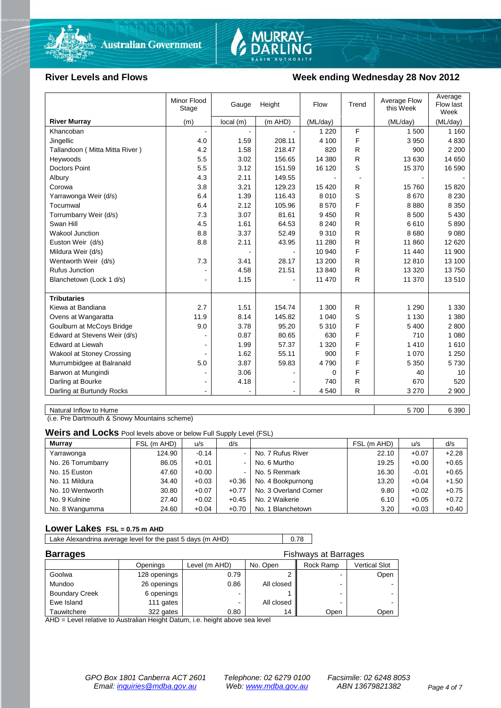

# MURRAY-<br>DARLING

#### **River Levels and Flows Week ending Wednesday 28 Nov 2012**

|                                | Minor Flood<br>Stage | Gauge    | Height  | Flow     | Trend | Average Flow<br>this Week | Average<br>Flow last<br>Week |
|--------------------------------|----------------------|----------|---------|----------|-------|---------------------------|------------------------------|
| <b>River Murray</b>            | (m)                  | local(m) | (m AHD) | (ML/day) |       | (ML/day)                  | (ML/day)                     |
| Khancoban                      |                      |          |         | 1 2 2 0  | F     | 1 500                     | 1 1 6 0                      |
| Jingellic                      | 4.0                  | 1.59     | 208.11  | 4 100    | F     | 3 9 5 0                   | 4 8 3 0                      |
| Tallandoon (Mitta Mitta River) | 4.2                  | 1.58     | 218.47  | 820      | R     | 900                       | 2 2 0 0                      |
| Heywoods                       | 5.5                  | 3.02     | 156.65  | 14 380   | R     | 13 630                    | 14 650                       |
| <b>Doctors Point</b>           | 5.5                  | 3.12     | 151.59  | 16 120   | S     | 15 370                    | 16 590                       |
| Albury                         | 4.3                  | 2.11     | 149.55  |          |       |                           |                              |
| Corowa                         | 3.8                  | 3.21     | 129.23  | 15 4 20  | R     | 15 760                    | 15 8 20                      |
| Yarrawonga Weir (d/s)          | 6.4                  | 1.39     | 116.43  | 8 0 1 0  | S     | 8670                      | 8 2 3 0                      |
| Tocumwal                       | 6.4                  | 2.12     | 105.96  | 8570     | F     | 8880                      | 8 3 5 0                      |
| Torrumbarry Weir (d/s)         | 7.3                  | 3.07     | 81.61   | 9450     | R     | 8 500                     | 5 4 3 0                      |
| Swan Hill                      | 4.5                  | 1.61     | 64.53   | 8 2 4 0  | R     | 6610                      | 5890                         |
| <b>Wakool Junction</b>         | 8.8                  | 3.37     | 52.49   | 9310     | R     | 8680                      | 9 0 8 0                      |
| Euston Weir (d/s)              | 8.8                  | 2.11     | 43.95   | 11 280   | R     | 11 860                    | 12 6 20                      |
| Mildura Weir (d/s)             |                      |          |         | 10 940   | F     | 11 440                    | 11 900                       |
| Wentworth Weir (d/s)           | 7.3                  | 3.41     | 28.17   | 13 200   | R     | 12810                     | 13 100                       |
| <b>Rufus Junction</b>          |                      | 4.58     | 21.51   | 13840    | R     | 13 3 20                   | 13750                        |
| Blanchetown (Lock 1 d/s)       | ۰                    | 1.15     |         | 11 470   | R     | 11 370                    | 13510                        |
| <b>Tributaries</b>             |                      |          |         |          |       |                           |                              |
| Kiewa at Bandiana              | 2.7                  | 1.51     | 154.74  | 1 300    | R     | 1 2 9 0                   | 1 3 3 0                      |
| Ovens at Wangaratta            | 11.9                 | 8.14     | 145.82  | 1 0 4 0  | S     | 1 1 3 0                   | 1 3 8 0                      |
| Goulburn at McCoys Bridge      | 9.0                  | 3.78     | 95.20   | 5 3 1 0  | F     | 5 400                     | 2800                         |
| Edward at Stevens Weir (d/s)   |                      | 0.87     | 80.65   | 630      | F     | 710                       | 1 0 8 0                      |
| <b>Edward at Liewah</b>        |                      | 1.99     | 57.37   | 1 3 2 0  | F     | 1410                      | 1610                         |
| Wakool at Stoney Crossing      |                      | 1.62     | 55.11   | 900      | F     | 1 0 7 0                   | 1 2 5 0                      |
| Murrumbidgee at Balranald      | 5.0                  | 3.87     | 59.83   | 4790     | F     | 5 3 5 0                   | 5730                         |
| Barwon at Mungindi             | ۰                    | 3.06     |         | 0        | F     | 40                        | 10                           |
| Darling at Bourke              | $\blacksquare$       | 4.18     |         | 740      | R     | 670                       | 520                          |
| Darling at Burtundy Rocks      |                      |          |         | 4 5 4 0  | R     | 3 2 7 0                   | 2 9 0 0                      |
|                                |                      |          |         |          |       |                           |                              |

Natural Inflow to Hume 6 390

(i.e. Pre Dartmouth & Snowy Mountains scheme)

**Weirs and Locks** Pool levels above or below Full Supply Level (FSL)

| Murray             | FSL (m AHD) | u/s     | d/s            |                       | FSL (m AHD) | u/s     | d/s     |
|--------------------|-------------|---------|----------------|-----------------------|-------------|---------|---------|
| Yarrawonga         | 124.90      | $-0.14$ | $\blacksquare$ | No. 7 Rufus River     | 22.10       | $+0.07$ | $+2.28$ |
| No. 26 Torrumbarry | 86.05       | $+0.01$ | $\sim$         | No. 6 Murtho          | 19.25       | $+0.00$ | $+0.65$ |
| No. 15 Euston      | 47.60       | $+0.00$ | $\blacksquare$ | No. 5 Renmark         | 16.30       | $-0.01$ | $+0.65$ |
| No. 11 Mildura     | 34.40       | $+0.03$ | $+0.36$        | No. 4 Bookpurnong     | 13.20       | $+0.04$ | $+1.50$ |
| No. 10 Wentworth   | 30.80       | $+0.07$ | $+0.77$        | No. 3 Overland Corner | 9.80        | $+0.02$ | $+0.75$ |
| No. 9 Kulnine      | 27.40       | $+0.02$ | $+0.45$        | No. 2 Waikerie        | 6.10        | $+0.05$ | $+0.72$ |
| No. 8 Wangumma     | 24.60       | $+0.04$ | $+0.70$        | No. 1 Blanchetown     | 3.20        | $+0.03$ | $+0.40$ |

#### **Lower Lakes FSL = 0.75 m AHD**

Lake Alexandrina average level for the past 5 days (m AHD) 0.78

| <b>Barrages</b>       |              | <b>Fishways at Barrages</b> |            |           |                      |  |  |
|-----------------------|--------------|-----------------------------|------------|-----------|----------------------|--|--|
|                       | Openings     | Level (m AHD)               | No. Open   | Rock Ramp | <b>Vertical Slot</b> |  |  |
| Goolwa                | 128 openings | 0.79                        |            |           | Open                 |  |  |
| Mundoo                | 26 openings  | 0.86                        | All closed | -         |                      |  |  |
| <b>Boundary Creek</b> | 6 openings   |                             |            | -         |                      |  |  |
| Ewe Island            | 111 gates    |                             | All closed |           |                      |  |  |
| Tauwitchere           | 322 gates    | 0.80                        | 14         | Open      | Open                 |  |  |

AHD = Level relative to Australian Height Datum, i.e. height above sea level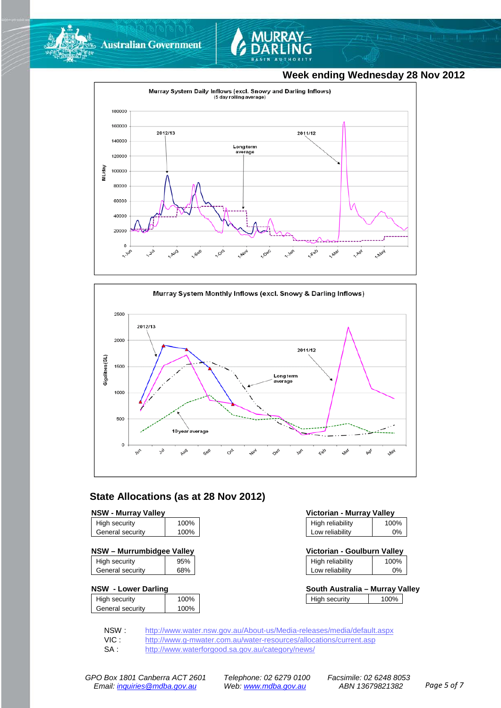



#### **Week ending Wednesday 28 Nov 2012**





#### **State Allocations (as at 28 Nov 2012)**

| High security    | 100% |
|------------------|------|
| General security | 100% |
|                  |      |

| NSW - Murrumbidgee Valley | Victorian - Goulburn Valley |
|---------------------------|-----------------------------|
|---------------------------|-----------------------------|

|                  | 95% |
|------------------|-----|
| General security | 68% |

#### **NSW - Lower Darling**

| High security    | 100% |
|------------------|------|
| General security | 100% |
|                  |      |

| <b>NSW - Murrav Vallev</b> |      | Victorian - Murray Valley |      |
|----------------------------|------|---------------------------|------|
| High security              | 100% | High reliability          | 100% |
| General security           | 100% | Low reliability           | 0%   |

| Victorian - Goulburn Valley |      |
|-----------------------------|------|
| High reliability            | 100% |

| Low reliability |  |
|-----------------|--|
|                 |  |

| South Australia – Murray Valley |      |  |
|---------------------------------|------|--|
| High security                   | 100% |  |

NSW : <http://www.water.nsw.gov.au/About-us/Media-releases/media/default.aspx><br>VIC : http://www.g-mwater.com.au/water-resources/allocations/current.asp

VIC : <http://www.g-mwater.com.au/water-resources/allocations/current.asp><br>SA : http://www.waterforgood.sa.gov.au/category/news/

<http://www.waterforgood.sa.gov.au/category/news/>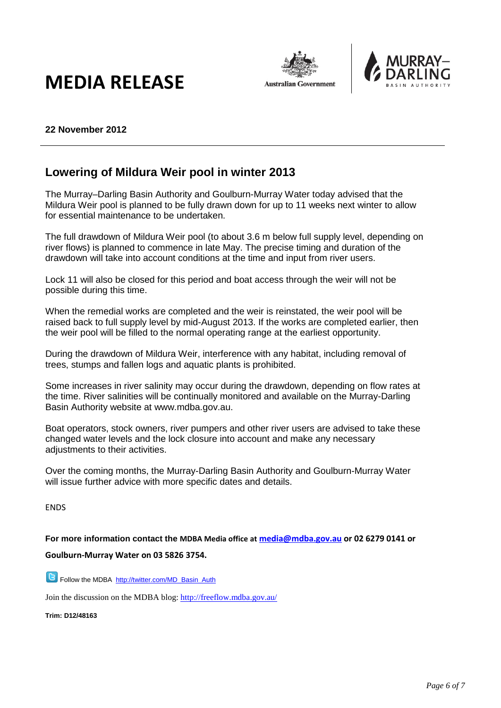# **MEDIA RELEASE**





#### **22 November 2012**

### **Lowering of Mildura Weir pool in winter 2013**

The Murray–Darling Basin Authority and Goulburn-Murray Water today advised that the Mildura Weir pool is planned to be fully drawn down for up to 11 weeks next winter to allow for essential maintenance to be undertaken.

The full drawdown of Mildura Weir pool (to about 3.6 m below full supply level, depending on river flows) is planned to commence in late May. The precise timing and duration of the drawdown will take into account conditions at the time and input from river users.

Lock 11 will also be closed for this period and boat access through the weir will not be possible during this time.

When the remedial works are completed and the weir is reinstated, the weir pool will be raised back to full supply level by mid-August 2013. If the works are completed earlier, then the weir pool will be filled to the normal operating range at the earliest opportunity.

During the drawdown of Mildura Weir, interference with any habitat, including removal of trees, stumps and fallen logs and aquatic plants is prohibited.

Some increases in river salinity may occur during the drawdown, depending on flow rates at the time. River salinities will be continually monitored and available on the Murray-Darling Basin Authority website at www.mdba.gov.au.

Boat operators, stock owners, river pumpers and other river users are advised to take these changed water levels and the lock closure into account and make any necessary adiustments to their activities.

Over the coming months, the Murray-Darling Basin Authority and Goulburn-Murray Water will issue further advice with more specific dates and details.

ENDS

**For more information contact the MDBA Media office at [media@mdba.gov.au](mailto:media@mdba.gov.au) or 02 6279 0141 or Goulburn-Murray Water on 03 5826 3754.**

**B** Follow the MDBA [http://twitter.com/MD\\_Basin\\_Auth](http://twitter.com/MD_Basin_Auth)

Join the discussion on the MDBA blog[: http://freeflow.mdba.gov.au/](http://freeflow.mdba.gov.au/)

**Trim: D12/48163**